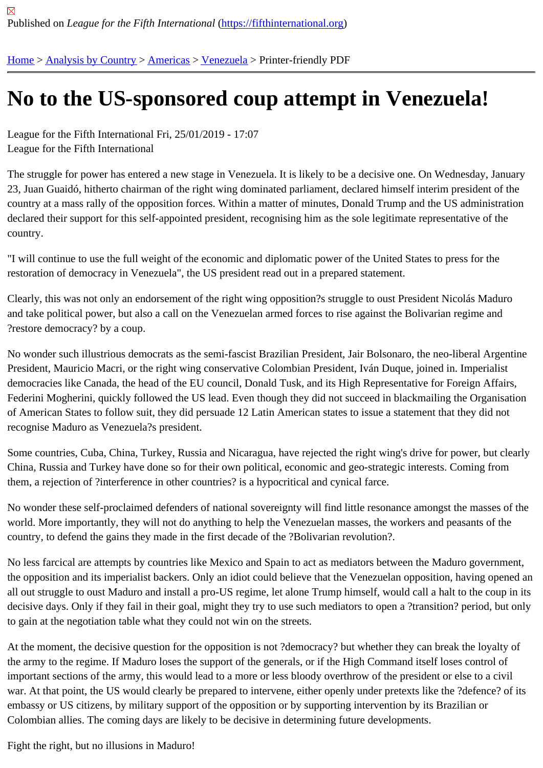## [No](https://fifthinternational.org/) [to the US-](https://fifthinternational.org/category/1)[spons](https://fifthinternational.org/category/1/56)[ored](https://fifthinternational.org/category/1/56/90) coup attempt in Venezuela!

League for the Fifth International Fri, 25/01/2019 - 17:07 League for the Fifth International

The struggle for power has entered a new stage in Venezuela. It is likely to be a decisive one. On Wednesday, Jai 23, Juan Guaidó, hitherto chairman of the right wing dominated parliament, declared himself interim president of th country at a mass rally of the opposition forces. Within a matter of minutes, Donald Trump and the US administrati declared their support for this self-appointed president, recognising him as the sole legitimate representative of the country.

"I will continue to use the full weight of the economic and diplomatic power of the United States to press for the restoration of democracy in Venezuela", the US president read out in a prepared statement.

Clearly, this was not only an endorsement of the right wing opposition?s struggle to oust President Nicolás Maduro and take political power, but also a call on the Venezuelan armed forces to rise against the Bolivarian regime and ?restore democracy? by a coup.

No wonder such illustrious democrats as the semi-fascist Brazilian President, Jair Bolsonaro, the neo-liberal Arger President, Mauricio Macri, or the right wing conservative Colombian President, Iván Duque, joined in. Imperialist democracies like Canada, the head of the EU council, Donald Tusk, and its High Representative for Foreign Affair Federini Mogherini, quickly followed the US lead. Even though they did not succeed in blackmailing the Organisati of American States to follow suit, they did persuade 12 Latin American states to issue a statement that they did no recognise Maduro as Venezuela?s president.

Some countries, Cuba, China, Turkey, Russia and Nicaragua, have rejected the right wing's drive for power, but cl China, Russia and Turkey have done so for their own political, economic and geo-strategic interests. Coming from them, a rejection of ?interference in other countries? is a hypocritical and cynical farce.

No wonder these self-proclaimed defenders of national sovereignty will find little resonance amongst the masses o world. More importantly, they will not do anything to help the Venezuelan masses, the workers and peasants of the country, to defend the gains they made in the first decade of the ?Bolivarian revolution?.

No less farcical are attempts by countries like Mexico and Spain to act as mediators between the Maduro governm the opposition and its imperialist backers. Only an idiot could believe that the Venezuelan opposition, having open all out struggle to oust Maduro and install a pro-US regime, let alone Trump himself, would call a halt to the coup i decisive days. Only if they fail in their goal, might they try to use such mediators to open a ?transition? period, but to gain at the negotiation table what they could not win on the streets.

At the moment, the decisive question for the opposition is not ?democracy? but whether they can break the loyalty the army to the regime. If Maduro loses the support of the generals, or if the High Command itself loses control of important sections of the army, this would lead to a more or less bloody overthrow of the president or else to a civi war. At that point, the US would clearly be prepared to intervene, either openly under pretexts like the ?defence? o embassy or US citizens, by military support of the opposition or by supporting intervention by its Brazilian or Colombian allies. The coming days are likely to be decisive in determining future developments.

Fight the right, but no illusions in Maduro!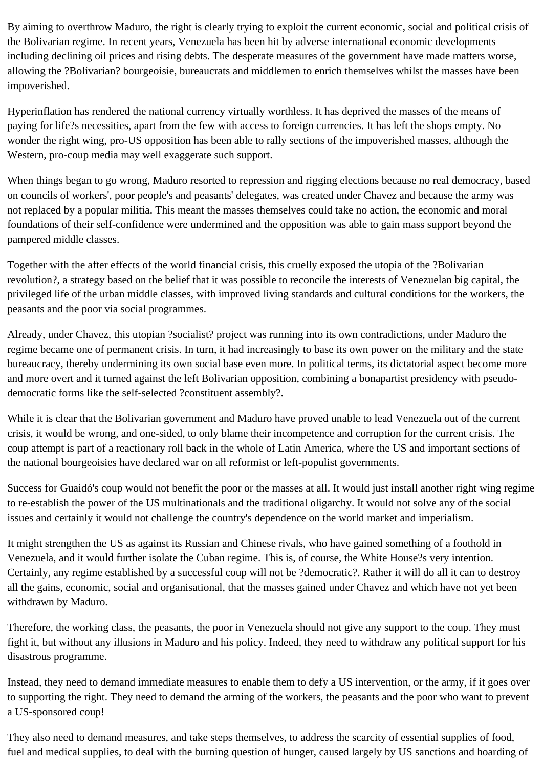By aiming to overthrow Maduro, the right is clearly trying to exploit the current economic, social and political crisis of the Bolivarian regime. In recent years, Venezuela has been hit by adverse international economic developments including declining oil prices and rising debts. The desperate measures of the government have made matters worse, allowing the ?Bolivarian? bourgeoisie, bureaucrats and middlemen to enrich themselves whilst the masses have been impoverished.

Hyperinflation has rendered the national currency virtually worthless. It has deprived the masses of the means of paying for life?s necessities, apart from the few with access to foreign currencies. It has left the shops empty. No wonder the right wing, pro-US opposition has been able to rally sections of the impoverished masses, although the Western, pro-coup media may well exaggerate such support.

When things began to go wrong, Maduro resorted to repression and rigging elections because no real democracy, based on councils of workers', poor people's and peasants' delegates, was created under Chavez and because the army was not replaced by a popular militia. This meant the masses themselves could take no action, the economic and moral foundations of their self-confidence were undermined and the opposition was able to gain mass support beyond the pampered middle classes.

Together with the after effects of the world financial crisis, this cruelly exposed the utopia of the ?Bolivarian revolution?, a strategy based on the belief that it was possible to reconcile the interests of Venezuelan big capital, the privileged life of the urban middle classes, with improved living standards and cultural conditions for the workers, the peasants and the poor via social programmes.

Already, under Chavez, this utopian ?socialist? project was running into its own contradictions, under Maduro the regime became one of permanent crisis. In turn, it had increasingly to base its own power on the military and the state bureaucracy, thereby undermining its own social base even more. In political terms, its dictatorial aspect become more and more overt and it turned against the left Bolivarian opposition, combining a bonapartist presidency with pseudodemocratic forms like the self-selected ?constituent assembly?.

While it is clear that the Bolivarian government and Maduro have proved unable to lead Venezuela out of the current crisis, it would be wrong, and one-sided, to only blame their incompetence and corruption for the current crisis. The coup attempt is part of a reactionary roll back in the whole of Latin America, where the US and important sections of the national bourgeoisies have declared war on all reformist or left-populist governments.

Success for Guaidó's coup would not benefit the poor or the masses at all. It would just install another right wing regime to re-establish the power of the US multinationals and the traditional oligarchy. It would not solve any of the social issues and certainly it would not challenge the country's dependence on the world market and imperialism.

It might strengthen the US as against its Russian and Chinese rivals, who have gained something of a foothold in Venezuela, and it would further isolate the Cuban regime. This is, of course, the White House?s very intention. Certainly, any regime established by a successful coup will not be ?democratic?. Rather it will do all it can to destroy all the gains, economic, social and organisational, that the masses gained under Chavez and which have not yet been withdrawn by Maduro.

Therefore, the working class, the peasants, the poor in Venezuela should not give any support to the coup. They must fight it, but without any illusions in Maduro and his policy. Indeed, they need to withdraw any political support for his disastrous programme.

Instead, they need to demand immediate measures to enable them to defy a US intervention, or the army, if it goes over to supporting the right. They need to demand the arming of the workers, the peasants and the poor who want to prevent a US-sponsored coup!

They also need to demand measures, and take steps themselves, to address the scarcity of essential supplies of food, fuel and medical supplies, to deal with the burning question of hunger, caused largely by US sanctions and hoarding of